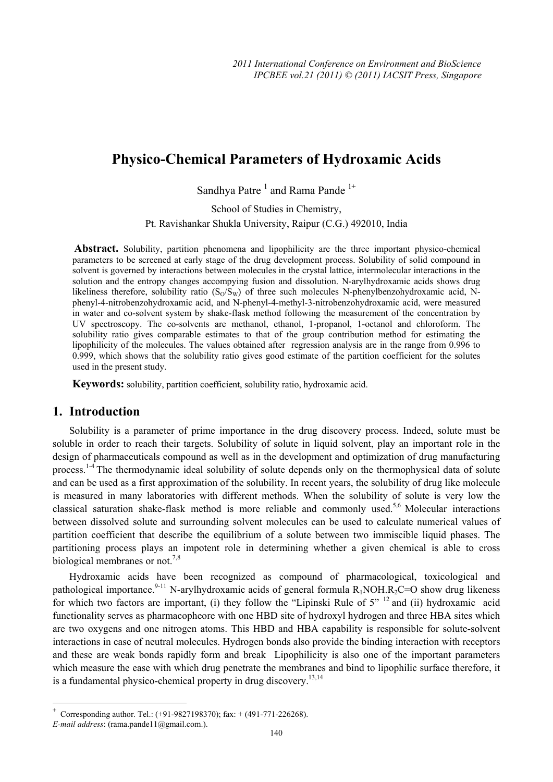# **Physico-Chemical Parameters of Hydroxamic Acids**

Sandhya Patre<sup>1</sup> and Rama Pande<sup>1+</sup>

School of Studies in Chemistry,

Pt. Ravishankar Shukla University, Raipur (C.G.) 492010, India

 **Abstract.** Solubility, partition phenomena and lipophilicity are the three important physico-chemical parameters to be screened at early stage of the drug development process. Solubility of solid compound in solvent is governed by interactions between molecules in the crystal lattice, intermolecular interactions in the solution and the entropy changes accompying fusion and dissolution. N-arylhydroxamic acids shows drug likeliness therefore, solubility ratio  $(S_0/S_w)$  of three such molecules N-phenylbenzohydroxamic acid, Nphenyl-4-nitrobenzohydroxamic acid, and N-phenyl-4-methyl-3-nitrobenzohydroxamic acid, were measured in water and co-solvent system by shake-flask method following the measurement of the concentration by UV spectroscopy. The co-solvents are methanol, ethanol, 1-propanol, 1-octanol and chloroform. The solubility ratio gives comparable estimates to that of the group contribution method for estimating the lipophilicity of the molecules. The values obtained after regression analysis are in the range from 0.996 to 0.999, which shows that the solubility ratio gives good estimate of the partition coefficient for the solutes used in the present study.

**Keywords:** solubility, partition coefficient, solubility ratio, hydroxamic acid.

# **1. Introduction**

Solubility is a parameter of prime importance in the drug discovery process. Indeed, solute must be soluble in order to reach their targets. Solubility of solute in liquid solvent, play an important role in the design of pharmaceuticals compound as well as in the development and optimization of drug manufacturing process.1-4 The thermodynamic ideal solubility of solute depends only on the thermophysical data of solute and can be used as a first approximation of the solubility. In recent years, the solubility of drug like molecule is measured in many laboratories with different methods. When the solubility of solute is very low the classical saturation shake-flask method is more reliable and commonly used.<sup>5,6</sup> Molecular interactions between dissolved solute and surrounding solvent molecules can be used to calculate numerical values of partition coefficient that describe the equilibrium of a solute between two immiscible liquid phases. The partitioning process plays an impotent role in determining whether a given chemical is able to cross biological membranes or not.<sup>7,8</sup>

Hydroxamic acids have been recognized as compound of pharmacological, toxicological and pathological importance.<sup>9-11</sup> N-arylhydroxamic acids of general formula  $R_1NOH.R_2C=O$  show drug likeness for which two factors are important, (i) they follow the "Lipinski Rule of  $5$ "  $^{12}$  and (ii) hydroxamic acid functionality serves as pharmacopheore with one HBD site of hydroxyl hydrogen and three HBA sites which are two oxygens and one nitrogen atoms. This HBD and HBA capability is responsible for solute-solvent interactions in case of neutral molecules. Hydrogen bonds also provide the binding interaction with receptors and these are weak bonds rapidly form and break Lipophilicity is also one of the important parameters which measure the ease with which drug penetrate the membranes and bind to lipophilic surface therefore, it is a fundamental physico-chemical property in drug discovery.<sup>13,14</sup>

 $\overline{\phantom{a}}$ 

Corresponding author. Tel.: (+91-9827198370); fax: + (491-771-226268).

*E-mail address*: (rama.pande11@gmail.com.).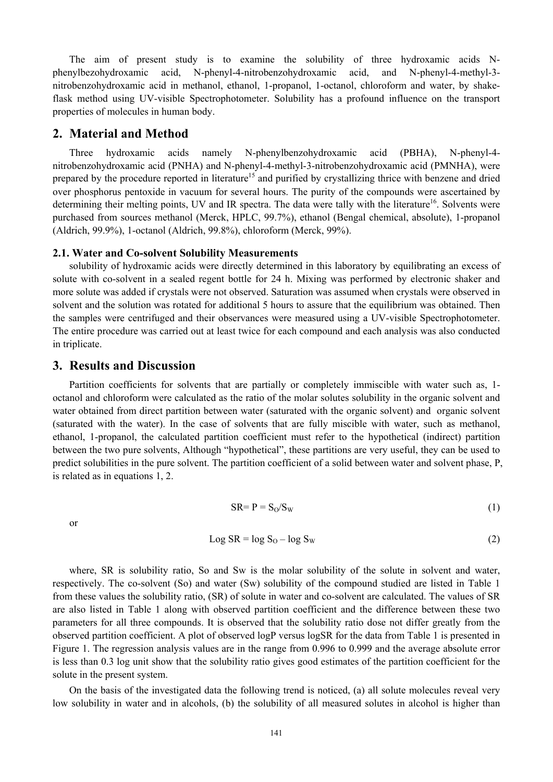The aim of present study is to examine the solubility of three hydroxamic acids Nphenylbezohydroxamic acid, N-phenyl-4-nitrobenzohydroxamic acid, and N-phenyl-4-methyl-3 nitrobenzohydroxamic acid in methanol, ethanol, 1-propanol, 1-octanol, chloroform and water, by shakeflask method using UV-visible Spectrophotometer. Solubility has a profound influence on the transport properties of molecules in human body.

### **2. Material and Method**

Three hydroxamic acids namely N-phenylbenzohydroxamic acid (PBHA), N-phenyl-4 nitrobenzohydroxamic acid (PNHA) and N-phenyl-4-methyl-3-nitrobenzohydroxamic acid (PMNHA), were prepared by the procedure reported in literature<sup>15</sup> and purified by crystallizing thrice with benzene and dried over phosphorus pentoxide in vacuum for several hours. The purity of the compounds were ascertained by determining their melting points, UV and IR spectra. The data were tally with the literature<sup>16</sup>. Solvents were purchased from sources methanol (Merck, HPLC, 99.7%), ethanol (Bengal chemical, absolute), 1-propanol (Aldrich, 99.9%), 1-octanol (Aldrich, 99.8%), chloroform (Merck, 99%).

#### **2.1. Water and Co-solvent Solubility Measurements**

solubility of hydroxamic acids were directly determined in this laboratory by equilibrating an excess of solute with co-solvent in a sealed regent bottle for 24 h. Mixing was performed by electronic shaker and more solute was added if crystals were not observed. Saturation was assumed when crystals were observed in solvent and the solution was rotated for additional 5 hours to assure that the equilibrium was obtained. Then the samples were centrifuged and their observances were measured using a UV-visible Spectrophotometer. The entire procedure was carried out at least twice for each compound and each analysis was also conducted in triplicate.

### **3. Results and Discussion**

Partition coefficients for solvents that are partially or completely immiscible with water such as, 1 octanol and chloroform were calculated as the ratio of the molar solutes solubility in the organic solvent and water obtained from direct partition between water (saturated with the organic solvent) and organic solvent (saturated with the water). In the case of solvents that are fully miscible with water, such as methanol, ethanol, 1-propanol, the calculated partition coefficient must refer to the hypothetical (indirect) partition between the two pure solvents, Although "hypothetical", these partitions are very useful, they can be used to predict solubilities in the pure solvent. The partition coefficient of a solid between water and solvent phase, P, is related as in equations 1, 2.

or

$$
SR = P = S_0/S_W
$$
 (1)

$$
Log SR = log SO - log SW
$$
 (2)

where, SR is solubility ratio, So and Sw is the molar solubility of the solute in solvent and water, respectively. The co-solvent (So) and water (Sw) solubility of the compound studied are listed in Table 1 from these values the solubility ratio, (SR) of solute in water and co-solvent are calculated. The values of SR are also listed in Table 1 along with observed partition coefficient and the difference between these two parameters for all three compounds. It is observed that the solubility ratio dose not differ greatly from the observed partition coefficient. A plot of observed logP versus logSR for the data from Table 1 is presented in Figure 1. The regression analysis values are in the range from 0.996 to 0.999 and the average absolute error is less than 0.3 log unit show that the solubility ratio gives good estimates of the partition coefficient for the solute in the present system.

On the basis of the investigated data the following trend is noticed, (a) all solute molecules reveal very low solubility in water and in alcohols, (b) the solubility of all measured solutes in alcohol is higher than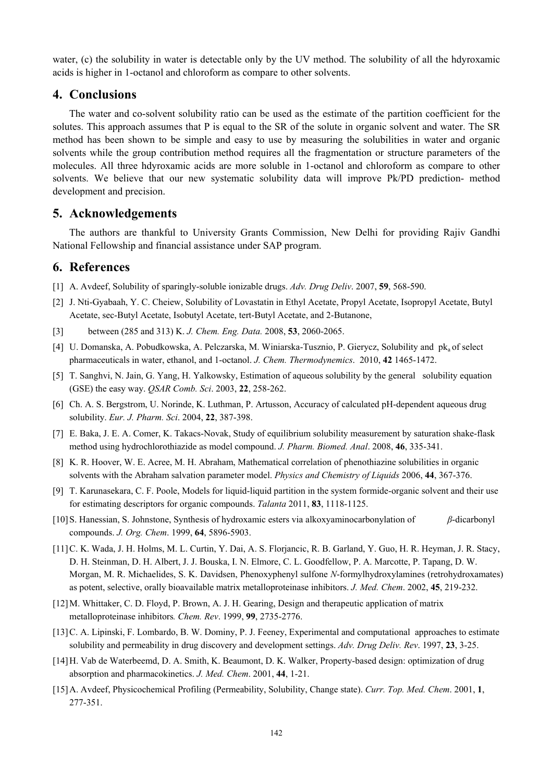water, (c) the solubility in water is detectable only by the UV method. The solubility of all the hdyroxamic acids is higher in 1-octanol and chloroform as compare to other solvents.

### **4. Conclusions**

The water and co-solvent solubility ratio can be used as the estimate of the partition coefficient for the solutes. This approach assumes that P is equal to the SR of the solute in organic solvent and water. The SR method has been shown to be simple and easy to use by measuring the solubilities in water and organic solvents while the group contribution method requires all the fragmentation or structure parameters of the molecules. All three hdyroxamic acids are more soluble in 1-octanol and chloroform as compare to other solvents. We believe that our new systematic solubility data will improve Pk/PD prediction- method development and precision.

# **5. Acknowledgements**

The authors are thankful to University Grants Commission, New Delhi for providing Rajiv Gandhi National Fellowship and financial assistance under SAP program.

# **6. References**

- [1] A. Avdeef, Solubility of sparingly-soluble ionizable drugs. *Adv. Drug Deliv*. 2007, **59**, 568-590.
- [2] J. Nti-Gyabaah, Y. C. Cheiew, Solubility of Lovastatin in Ethyl Acetate, Propyl Acetate, Isopropyl Acetate, Butyl Acetate, sec-Butyl Acetate, Isobutyl Acetate, tert-Butyl Acetate, and 2-Butanone,
- [3] between (285 and 313) K. *J. Chem. Eng. Data.* 2008, **53**, 2060-2065.
- [4] U. Domanska, A. Pobudkowska, A. Pelczarska, M. Winiarska-Tusznio, P. Gierycz, Solubility and pk<sub>a</sub> of select pharmaceuticals in water, ethanol, and 1-octanol. *J. Chem. Thermodynemics*. 2010, **42** 1465-1472.
- [5] T. Sanghvi, N. Jain, G. Yang, H. Yalkowsky, Estimation of aqueous solubility by the general solubility equation (GSE) the easy way. *QSAR Comb. Sci*. 2003, **22**, 258-262.
- [6] Ch. A. S. Bergstrom, U. Norinde, K. Luthman, P. Artusson, Accuracy of calculated pH-dependent aqueous drug solubility. *Eur. J. Pharm. Sci*. 2004, **22**, 387-398.
- [7] E. Baka, J. E. A. Comer, K. Takacs-Novak, Study of equilibrium solubility measurement by saturation shake-flask method using hydrochlorothiazide as model compound. *J. Pharm. Biomed. Anal*. 2008, **46**, 335-341.
- [8] K. R. Hoover, W. E. Acree, M. H. Abraham, Mathematical correlation of phenothiazine solubilities in organic solvents with the Abraham salvation parameter model. *Physics and Chemistry of Liquids* 2006, **44**, 367-376.
- [9] T. Karunasekara, C. F. Poole, Models for liquid-liquid partition in the system formide-organic solvent and their use for estimating descriptors for organic compounds. *Talanta* 2011, **83**, 1118-1125.
- [10]S. Hanessian, S. Johnstone, Synthesis of hydroxamic esters via alkoxyaminocarbonylation of *β*-dicarbonyl compounds. *J. Org. Chem*. 1999, **64**, 5896-5903.
- [11]C. K. Wada, J. H. Holms, M. L. Curtin, Y. Dai, A. S. Florjancic, R. B. Garland, Y. Guo, H. R. Heyman, J. R. Stacy, D. H. Steinman, D. H. Albert, J. J. Bouska, I. N. Elmore, C. L. Goodfellow, P. A. Marcotte, P. Tapang, D. W. Morgan, M. R. Michaelides, S. K. Davidsen, Phenoxyphenyl sulfone *N*-formylhydroxylamines (retrohydroxamates) as potent, selective, orally bioavailable matrix metalloproteinase inhibitors. *J. Med. Chem*. 2002, **45**, 219-232.
- [12]M. Whittaker, C. D. Floyd, P. Brown, A. J. H. Gearing, Design and therapeutic application of matrix metalloproteinase inhibitors*. Chem. Rev*. 1999, **99**, 2735-2776.
- [13]C. A. Lipinski, F. Lombardo, B. W. Dominy, P. J. Feeney, Experimental and computational approaches to estimate solubility and permeability in drug discovery and development settings. *Adv. Drug Deliv. Rev*. 1997, **23**, 3-25.
- [14]H. Vab de Waterbeemd, D. A. Smith, K. Beaumont, D. K. Walker, Property-based design: optimization of drug absorption and pharmacokinetics. *J. Med. Chem*. 2001, **44**, 1-21.
- [15]A. Avdeef, Physicochemical Profiling (Permeability, Solubility, Change state). *Curr. Top. Med. Chem*. 2001, **1**, 277-351.